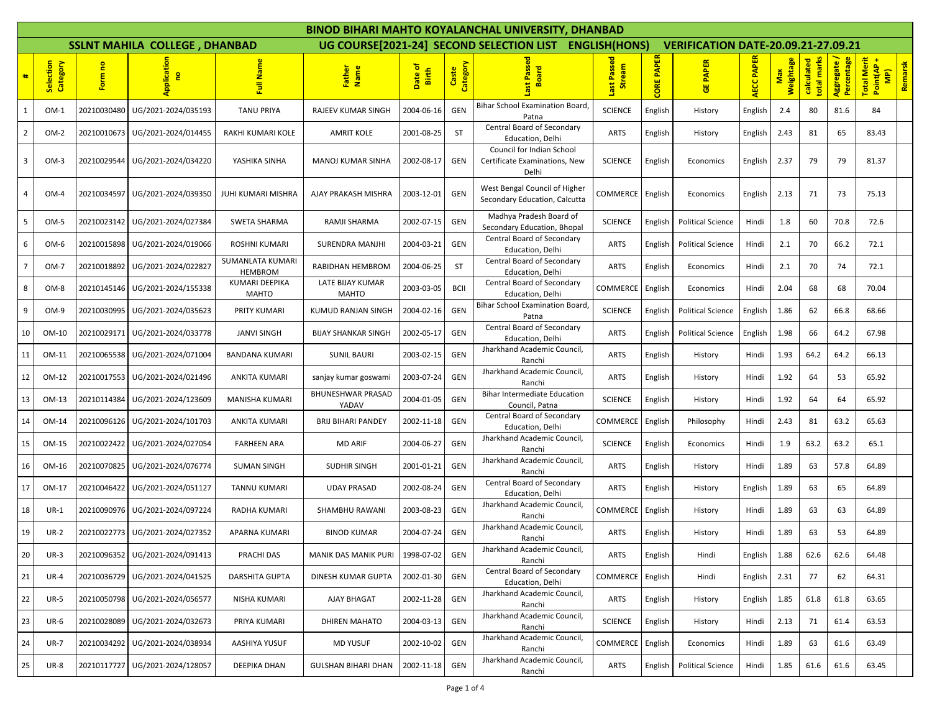|                |                                 |             |                                      |                                    |                                   |                              |                   | <b>BINOD BIHARI MAHTO KOYALANCHAL UNIVERSITY, DHANBAD</b>           |                          |                     |                                            |                   |                  |                              |                         |                                                           |
|----------------|---------------------------------|-------------|--------------------------------------|------------------------------------|-----------------------------------|------------------------------|-------------------|---------------------------------------------------------------------|--------------------------|---------------------|--------------------------------------------|-------------------|------------------|------------------------------|-------------------------|-----------------------------------------------------------|
|                |                                 |             | <b>SSLNT MAHILA COLLEGE, DHANBAD</b> |                                    |                                   |                              |                   | UG COURSE[2021-24] SECOND SELECTION LIST                            | <b>ENGLISH(HONS)</b>     |                     | <b>VERIFICATION DATE-20.09.21-27.09.21</b> |                   |                  |                              |                         |                                                           |
|                | lection<br>Category<br><b>S</b> | Form no     | Applicatio<br>e                      | Nam<br>큹                           | Father<br>Name                    | <u>উ</u><br>Date o'<br>Birth | Caste<br>Category | Passed<br><b>Board</b>                                              | Passed<br>Stream<br>Last | <b>PAPER</b><br>ORE | <b>PAPER</b><br>匮                          | <b>AECC PAPER</b> | Max<br>Weightage | calculated<br>marks<br>total | Percentage<br>Aggregate | <b>Total Merit</b><br>Remarsk<br>Point(AP<br>$\mathbf{P}$ |
| 1              | OM-1                            | 20210030480 | UG/2021-2024/035193                  | <b>TANU PRIYA</b>                  | RAJEEV KUMAR SINGH                | 2004-06-16                   | GEN               | Bihar School Examination Board,<br>Patna                            | <b>SCIENCE</b>           | English             | History                                    | English           | 2.4              | 80                           | 81.6                    | 84                                                        |
| $\overline{2}$ | OM-2                            | 20210010673 | UG/2021-2024/014455                  | RAKHI KUMARI KOLE                  | AMRIT KOLE                        | 2001-08-25                   | <b>ST</b>         | Central Board of Secondary<br>Education, Delhi                      | ARTS                     | English             | History                                    | English           | 2.43             | 81                           | 65                      | 83.43                                                     |
| 3              | $OM-3$                          | 20210029544 | UG/2021-2024/034220                  | YASHIKA SINHA                      | <b>MANOJ KUMAR SINHA</b>          | 2002-08-17                   | GEN               | Council for Indian School<br>Certificate Examinations, New<br>Delhi | <b>SCIENCE</b>           | English             | Economics                                  | English           | 2.37             | 79                           | 79                      | 81.37                                                     |
| 4              | $OM-4$                          | 20210034597 | UG/2021-2024/039350                  | JUHI KUMARI MISHRA                 | AJAY PRAKASH MISHRA               | 2003-12-01                   | GEN               | West Bengal Council of Higher<br>Secondary Education, Calcutta      | COMMERCE                 | English             | Economics                                  | English           | 2.13             | 71                           | 73                      | 75.13                                                     |
| 5              | OM-5                            | 20210023142 | UG/2021-2024/027384                  | SWETA SHARMA                       | RAMJI SHARMA                      | 2002-07-15                   | GEN               | Madhya Pradesh Board of<br>Secondary Education, Bhopal              | <b>SCIENCE</b>           | English             | <b>Political Science</b>                   | Hindi             | 1.8              | 60                           | 70.8                    | 72.6                                                      |
| 6              | OM-6                            | 20210015898 | UG/2021-2024/019066                  | ROSHNI KUMARI                      | <b>SURENDRA MANJHI</b>            | 2004-03-21                   | GEN               | Central Board of Secondary<br>Education, Delhi                      | <b>ARTS</b>              | English             | <b>Political Science</b>                   | Hindi             | 2.1              | 70                           | 66.2                    | 72.1                                                      |
| 7              | OM-7                            | 20210018892 | UG/2021-2024/022827                  | SUMANLATA KUMARI<br><b>HEMBROM</b> | RABIDHAN HEMBROM                  | 2004-06-25                   | <b>ST</b>         | Central Board of Secondary<br>Education, Delhi                      | <b>ARTS</b>              | English             | Economics                                  | Hindi             | 2.1              | 70                           | 74                      | 72.1                                                      |
| 8              | OM-8                            | 20210145146 | UG/2021-2024/155338                  | KUMARI DEEPIKA<br><b>MAHTO</b>     | LATE BIJAY KUMAR<br><b>MAHTO</b>  | 2003-03-05                   | <b>BCII</b>       | Central Board of Secondary<br>Education, Delhi                      | COMMERCE                 | English             | Economics                                  | Hindi             | 2.04             | 68                           | 68                      | 70.04                                                     |
| 9              | OM-9                            | 20210030995 | UG/2021-2024/035623                  | PRITY KUMARI                       | KUMUD RANJAN SINGH                | 2004-02-16                   | GEN               | Bihar School Examination Board,<br>Patna                            | <b>SCIENCE</b>           | English             | <b>Political Science</b>                   | English           | 1.86             | 62                           | 66.8                    | 68.66                                                     |
| 10             | OM-10                           | 20210029171 | UG/2021-2024/033778                  | <b>JANVI SINGH</b>                 | <b>BIJAY SHANKAR SINGH</b>        | 2002-05-17                   | GEN               | Central Board of Secondary<br>Education, Delhi                      | ARTS                     | English             | <b>Political Science</b>                   | English           | 1.98             | 66                           | 64.2                    | 67.98                                                     |
| 11             | OM-11                           | 20210065538 | UG/2021-2024/071004                  | <b>BANDANA KUMARI</b>              | SUNIL BAURI                       | 2003-02-15                   | GEN               | Jharkhand Academic Council,<br>Ranchi                               | <b>ARTS</b>              | English             | History                                    | Hindi             | 1.93             | 64.2                         | 64.2                    | 66.13                                                     |
| 12             | OM-12                           | 20210017553 | UG/2021-2024/021496                  | ANKITA KUMARI                      | sanjay kumar goswam               | 2003-07-24                   | GEN               | Jharkhand Academic Council,<br>Ranchi                               | ARTS                     | English             | History                                    | Hindi             | 1.92             | 64                           | 53                      | 65.92                                                     |
| 13             | OM-13                           | 20210114384 | UG/2021-2024/123609                  | MANISHA KUMARI                     | <b>BHUNESHWAR PRASAD</b><br>YADAV | 2004-01-05                   | GEN               | <b>Bihar Intermediate Education</b><br>Council, Patna               | <b>SCIENCE</b>           | English             | History                                    | Hindi             | 1.92             | 64                           | 64                      | 65.92                                                     |
| 14             | OM-14                           | 20210096126 | UG/2021-2024/101703                  | ANKITA KUMARI                      | <b>BRIJ BIHARI PANDEY</b>         | 2002-11-18                   | GEN               | Central Board of Secondary<br>Education, Delhi                      | COMMERCE                 | English             | Philosophy                                 | Hindi             | 2.43             | 81                           | 63.2                    | 65.63                                                     |
| 15             | OM-15                           | 20210022422 | UG/2021-2024/027054                  | <b>FARHEEN ARA</b>                 | <b>MD ARIF</b>                    | 2004-06-27                   | GEN               | Jharkhand Academic Council,<br>Ranchi                               | <b>SCIENCE</b>           | English             | Economics                                  | Hindi             | 1.9              | 63.2                         | 63.2                    | 65.1                                                      |
| 16             | OM-16                           | 20210070825 | UG/2021-2024/076774                  | <b>SUMAN SINGH</b>                 | <b>SUDHIR SINGH</b>               | 2001-01-21                   | GEN               | Jharkhand Academic Council,<br>Ranchi                               | <b>ARTS</b>              | English             | History                                    | Hindi             | 1.89             | 63                           | 57.8                    | 64.89                                                     |
| 17             | OM-17                           | 20210046422 | UG/2021-2024/051127                  | TANNU KUMARI                       | <b>UDAY PRASAD</b>                | 2002-08-24                   | GEN               | Central Board of Secondary<br>Education, Delhi                      | ARTS                     | English             | History                                    | English           | 1.89             | 63                           | 65                      | 64.89                                                     |
| 18             | $UR-1$                          | 20210090976 | UG/2021-2024/097224                  | RADHA KUMARI                       | SHAMBHU RAWANI                    | 2003-08-23                   | GEN               | Jharkhand Academic Council,<br>Ranchi                               | COMMERCE                 | English             | History                                    | Hindi             | 1.89             | 63                           | 63                      | 64.89                                                     |
| 19             | $UR-2$                          | 20210022773 | UG/2021-2024/027352                  | APARNA KUMARI                      | <b>BINOD KUMAR</b>                | 2004-07-24                   | GEN               | Jharkhand Academic Council,<br>Ranchi                               | ARTS                     | English             | History                                    | Hindi             | 1.89             | 63                           | 53                      | 64.89                                                     |
| 20             | $UR-3$                          | 20210096352 | UG/2021-2024/091413                  | PRACHI DAS                         | MANIK DAS MANIK PURI              | 1998-07-02                   | GEN               | Jharkhand Academic Council,<br>Ranchi                               | ARTS                     | English             | Hindi                                      | English           | 1.88             | 62.6                         | 62.6                    | 64.48                                                     |
| 21             | $UR-4$                          | 20210036729 | UG/2021-2024/041525                  | <b>DARSHITA GUPTA</b>              | DINESH KUMAR GUPTA                | 2002-01-30                   | GEN               | Central Board of Secondary<br>Education, Delhi                      | COMMERCE                 | English             | Hindi                                      | English           | 2.31             | 77                           | 62                      | 64.31                                                     |
| 22             | <b>UR-5</b>                     | 20210050798 | UG/2021-2024/056577                  | NISHA KUMARI                       | AJAY BHAGAT                       | 2002-11-28                   | GEN               | Jharkhand Academic Council,<br>Ranchi                               | ARTS                     | English             | History                                    | English           | 1.85             | 61.8                         | 61.8                    | 63.65                                                     |
| 23             | $UR-6$                          | 20210028089 | UG/2021-2024/032673                  | PRIYA KUMARI                       | <b>DHIREN MAHATO</b>              | 2004-03-13                   | GEN               | Jharkhand Academic Council,<br>Ranchi                               | <b>SCIENCE</b>           | English             | History                                    | Hindi             | 2.13             | 71                           | 61.4                    | 63.53                                                     |
| 24             | <b>UR-7</b>                     | 20210034292 | UG/2021-2024/038934                  | AASHIYA YUSUF                      | <b>MD YUSUF</b>                   | 2002-10-02                   | GEN               | Jharkhand Academic Council,<br>Ranchi                               | COMMERCE                 | English             | Economics                                  | Hindi             | 1.89             | 63                           | 61.6                    | 63.49                                                     |
| 25             | <b>UR-8</b>                     | 20210117727 | UG/2021-2024/128057                  | DEEPIKA DHAN                       | <b>GULSHAN BIHARI DHAN</b>        | 2002-11-18                   | GEN               | Jharkhand Academic Council,<br>Ranchi                               | ARTS                     | English             | <b>Political Science</b>                   | Hindi             | 1.85             | 61.6                         | 61.6                    | 63.45                                                     |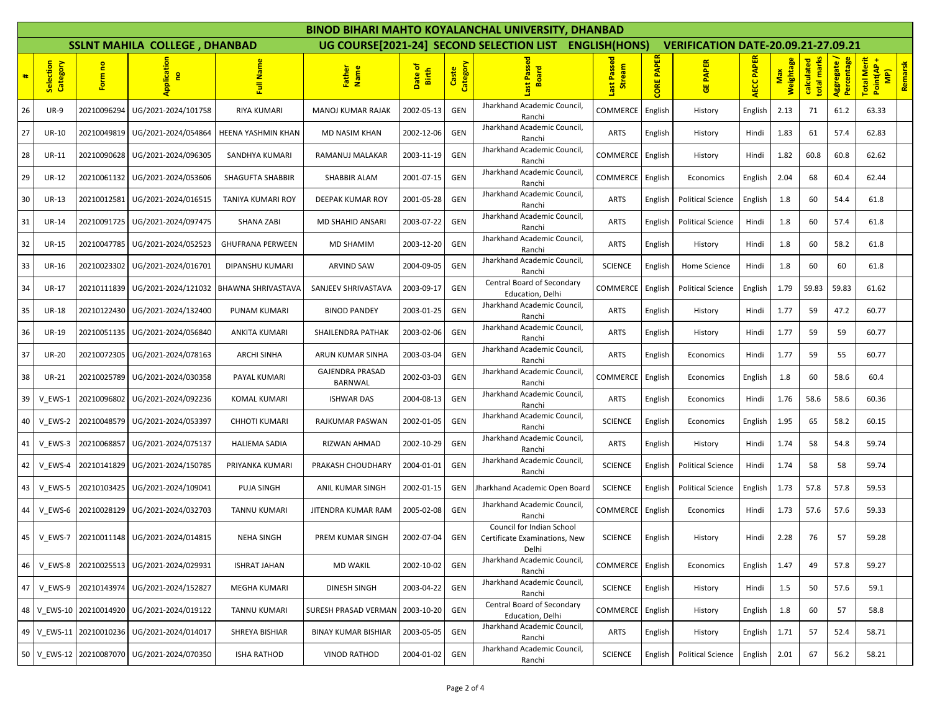|    |                       |             |                                      |                         |                                   |                                       |                   | <b>BINOD BIHARI MAHTO KOYALANCHAL UNIVERSITY, DHANBAD</b>           |                          |                      |                                            |                   |           |                           |                         |                                                            |
|----|-----------------------|-------------|--------------------------------------|-------------------------|-----------------------------------|---------------------------------------|-------------------|---------------------------------------------------------------------|--------------------------|----------------------|--------------------------------------------|-------------------|-----------|---------------------------|-------------------------|------------------------------------------------------------|
|    |                       |             | <b>SSLNT MAHILA COLLEGE, DHANBAD</b> |                         |                                   |                                       |                   | UG COURSE[2021-24] SECOND SELECTION LIST                            | <b>ENGLISH(HONS)</b>     |                      | <b>VERIFICATION DATE-20.09.21-27.09.21</b> |                   |           |                           |                         |                                                            |
|    | Selection<br>Category | Form no     | Applicatio<br>e,                     | Nam<br>昆                | Father<br>Name                    | $\frac{1}{\sigma}$<br>Date o<br>Birth | Caste<br>Category | Passe<br><b>Board</b>                                               | Passed<br>Stream<br>iast | <b>PAPER</b><br>CORE | <b>PAPER</b><br>ី<br>ច                     | <b>AECC PAPER</b> | Weightage | calculated<br>total marks | Percentage<br>Aggregate | <b>Total Merit</b><br>Remarsk<br>Point(AP<br>$\frac{1}{2}$ |
| 26 | <b>UR-9</b>           | 20210096294 | UG/2021-2024/101758                  | RIYA KUMARI             | <b>MANOJ KUMAR RAJAK</b>          | 2002-05-13                            | GEN               | Jharkhand Academic Council,<br>Ranchi                               | COMMERCE                 | English              | History                                    | English           | 2.13      | 71                        | 61.2                    | 63.33                                                      |
| 27 | UR-10                 | 20210049819 | UG/2021-2024/054864                  | HEENA YASHMIN KHAN      | MD NASIM KHAN                     | 2002-12-06                            | GEN               | Jharkhand Academic Council,<br>Ranchi                               | ARTS                     | English              | History                                    | Hindi             | 1.83      | 61                        | 57.4                    | 62.83                                                      |
| 28 | UR-11                 | 20210090628 | UG/2021-2024/096305                  | SANDHYA KUMARI          | RAMANUJ MALAKAR                   | 2003-11-19                            | GEN               | Jharkhand Academic Council,<br>Ranchi                               | COMMERCE                 | English              | History                                    | Hindi             | 1.82      | 60.8                      | 60.8                    | 62.62                                                      |
| 29 | <b>UR-12</b>          | 20210061132 | UG/2021-2024/053606                  | SHAGUFTA SHABBIR        | SHABBIR ALAM                      | 2001-07-15                            | GEN               | Jharkhand Academic Council,<br>Ranchi                               | COMMERCE                 | English              | Economics                                  | English           | 2.04      | 68                        | 60.4                    | 62.44                                                      |
| 30 | UR-13                 | 20210012581 | UG/2021-2024/016515                  | TANIYA KUMARI ROY       | DEEPAK KUMAR ROY                  | 2001-05-28                            | GEN               | Jharkhand Academic Council,<br>Ranchi                               | <b>ARTS</b>              | English              | Political Science                          | English           | 1.8       | 60                        | 54.4                    | 61.8                                                       |
| 31 | <b>UR-14</b>          | 20210091725 | UG/2021-2024/097475                  | <b>SHANA ZABI</b>       | MD SHAHID ANSARI                  | 2003-07-22                            | GEN               | Jharkhand Academic Council,<br>Ranchi                               | ARTS                     | English              | <b>Political Science</b>                   | Hindi             | 1.8       | 60                        | 57.4                    | 61.8                                                       |
| 32 | UR-15                 | 20210047785 | UG/2021-2024/052523                  | <b>GHUFRANA PERWEEN</b> | MD SHAMIM                         | 2003-12-20                            | GEN               | Jharkhand Academic Council,<br>Ranchi                               | ARTS                     | English              | History                                    | Hindi             | 1.8       | 60                        | 58.2                    | 61.8                                                       |
| 33 | <b>UR-16</b>          | 20210023302 | UG/2021-2024/016701                  | DIPANSHU KUMARI         | <b>ARVIND SAW</b>                 | 2004-09-05                            | GEN               | Jharkhand Academic Council,<br>Ranchi                               | <b>SCIENCE</b>           | English              | Home Science                               | Hindi             | 1.8       | 60                        | 60                      | 61.8                                                       |
| 34 | <b>UR-17</b>          | 20210111839 | UG/2021-2024/121032                  | BHAWNA SHRIVASTAVA      | SANJEEV SHRIVASTAVA               | 2003-09-17                            | GEN               | Central Board of Secondary<br>Education, Delhi                      | COMMERCE                 | English              | Political Science                          | English           | 1.79      | 59.83                     | 59.83                   | 61.62                                                      |
| 35 | <b>UR-18</b>          | 20210122430 | UG/2021-2024/132400                  | PUNAM KUMARI            | <b>BINOD PANDEY</b>               | 2003-01-25                            | GEN               | Jharkhand Academic Council,<br>Ranchi                               | ARTS                     | English              | History                                    | Hindi             | 1.77      | 59                        | 47.2                    | 60.77                                                      |
| 36 | <b>UR-19</b>          | 20210051135 | UG/2021-2024/056840                  | <b>ANKITA KUMARI</b>    | SHAILENDRA PATHAK                 | 2003-02-06                            | GEN               | Jharkhand Academic Council,<br>Ranchi                               | ARTS                     | English              | History                                    | Hindi             | 1.77      | 59                        | 59                      | 60.77                                                      |
| 37 | <b>UR-20</b>          | 20210072305 | UG/2021-2024/078163                  | <b>ARCHI SINHA</b>      | ARUN KUMAR SINHA                  | 2003-03-04                            | <b>GEN</b>        | Jharkhand Academic Council,<br>Ranchi                               | <b>ARTS</b>              | English              | Economics                                  | Hindi             | 1.77      | 59                        | 55                      | 60.77                                                      |
| 38 | <b>UR-21</b>          | 20210025789 | UG/2021-2024/030358                  | PAYAL KUMARI            | <b>GAJENDRA PRASAD</b><br>BARNWAL | 2002-03-03                            | GEN               | Jharkhand Academic Council,<br>Ranchi                               | COMMERCE                 | English              | Economics                                  | English           | 1.8       | 60                        | 58.6                    | 60.4                                                       |
| 39 | V EWS-1               | 20210096802 | UG/2021-2024/092236                  | <b>KOMAL KUMARI</b>     | <b>ISHWAR DAS</b>                 | 2004-08-13                            | GEN               | Jharkhand Academic Council,<br>Ranchi                               | ARTS                     | English              | Economics                                  | Hindi             | 1.76      | 58.6                      | 58.6                    | 60.36                                                      |
| 40 | V EWS-2               | 20210048579 | UG/2021-2024/053397                  | <b>CHHOTI KUMARI</b>    | RAJKUMAR PASWAN                   | 2002-01-05                            | GEN               | Jharkhand Academic Council,<br>Ranchi                               | <b>SCIENCE</b>           | English              | Economics                                  | English           | 1.95      | 65                        | 58.2                    | 60.15                                                      |
| 41 | V EWS-3               | 20210068857 | UG/2021-2024/075137                  | <b>HALIEMA SADIA</b>    | RIZWAN AHMAD                      | 2002-10-29                            | GEN               | Jharkhand Academic Council,<br>Ranchi                               | ARTS                     | English              | History                                    | Hindi             | 1.74      | 58                        | 54.8                    | 59.74                                                      |
| 42 | V EWS-4               | 20210141829 | UG/2021-2024/150785                  | PRIYANKA KUMAR          | PRAKASH CHOUDHARY                 | 2004-01-01                            | GEN               | Jharkhand Academic Council,<br>Ranchi                               | <b>SCIENCE</b>           | English              | Political Science                          | Hindi             | 1.74      | 58                        | 58                      | 59.74                                                      |
| 43 | V EWS-5               | 20210103425 | UG/2021-2024/109041                  | PUJA SINGH              | ANIL KUMAR SINGH                  | 2002-01-15                            | GEN               | Iharkhand Academic Open Board                                       | <b>SCIENCE</b>           | English              | <b>Political Science</b>                   | English           | 1.73      | 57.8                      | 57.8                    | 59.53                                                      |
| 44 | V EWS-6               | 20210028129 | UG/2021-2024/032703                  | <b>TANNU KUMARI</b>     | JITENDRA KUMAR RAM                | 2005-02-08                            | <b>GEN</b>        | Jharkhand Academic Council,<br>Ranchi                               | <b>COMMERCE</b>          | English              | Economics                                  | Hindi             | 1.73      | 57.6                      | 57.6                    | 59.33                                                      |
| 45 | V EWS-7               |             | 20210011148 UG/2021-2024/014815      | <b>NEHA SINGH</b>       | PREM KUMAR SINGH                  | 2002-07-04                            | GEN               | Council for Indian School<br>Certificate Examinations, New<br>Delhi | <b>SCIENCE</b>           | English              | History                                    | Hindi             | 2.28      | 76                        | 57                      | 59.28                                                      |
| 46 | V EWS-8               | 20210025513 | UG/2021-2024/029931                  | <b>ISHRAT JAHAN</b>     | <b>MD WAKIL</b>                   | 2002-10-02                            | GEN               | Jharkhand Academic Council,<br>Ranchi                               | COMMERCE                 | English              | Economics                                  | English           | 1.47      | 49                        | 57.8                    | 59.27                                                      |
| 47 | V EWS-9               | 20210143974 | UG/2021-2024/152827                  | MEGHA KUMARI            | <b>DINESH SINGH</b>               | 2003-04-22                            | GEN               | Jharkhand Academic Council,<br>Ranchi                               | <b>SCIENCE</b>           | English              | History                                    | Hindi             | 1.5       | 50                        | 57.6                    | 59.1                                                       |
|    | 48 V EWS-10           | 20210014920 | UG/2021-2024/019122                  | <b>TANNU KUMARI</b>     | <b>SURESH PRASAD VERMAN</b>       | 2003-10-20                            | GEN               | Central Board of Secondary<br>Education, Delhi                      | COMMERCE                 | English              | History                                    | English           | 1.8       | 60                        | 57                      | 58.8                                                       |
|    | 49 V EWS-11           |             | 20210010236 UG/2021-2024/014017      | SHREYA BISHIAR          | <b>BINAY KUMAR BISHIAR</b>        | 2003-05-05                            | GEN               | Jharkhand Academic Council,<br>Ranchi                               | ARTS                     | English              | History                                    | English           | 1.71      | 57                        | 52.4                    | 58.71                                                      |
|    | 50 V_EWS-12           | 20210087070 | UG/2021-2024/070350                  | <b>ISHA RATHOD</b>      | <b>VINOD RATHOD</b>               | 2004-01-02                            | GEN               | Jharkhand Academic Council,<br>Ranchi                               | <b>SCIENCE</b>           | English              | <b>Political Science</b>                   | English           | 2.01      | 67                        | 56.2                    | 58.21                                                      |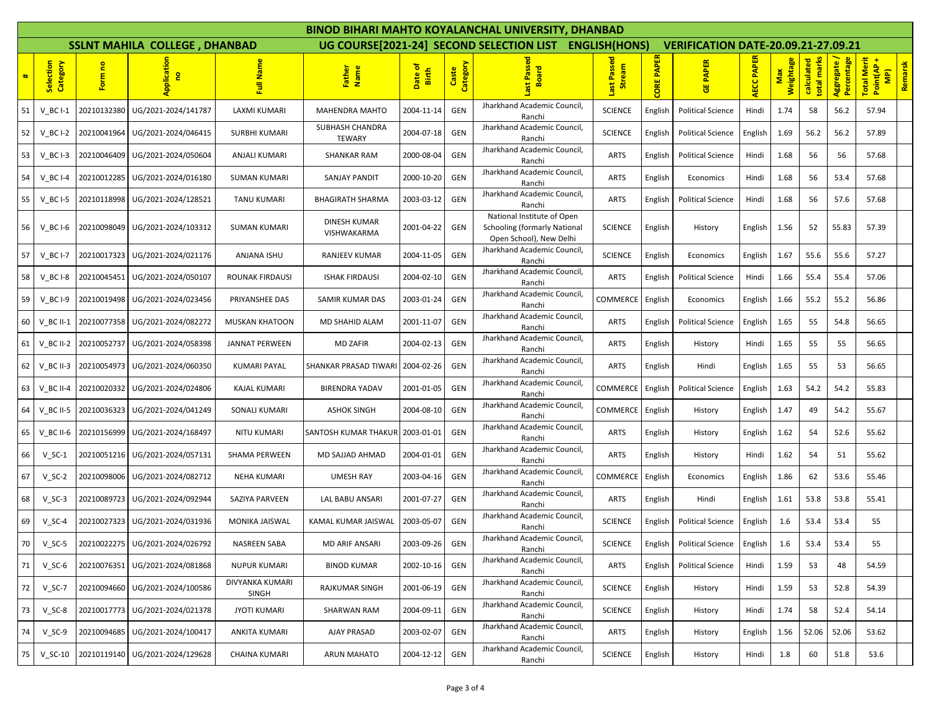|    |                                  |             |                                      |                          |                                    |                  |                   | BINOD BIHARI MAHTO KOYALANCHAL UNIVERSITY, DHANBAD                                           |                                 |                      |                                            |                   |           |                         |                         |                                                            |
|----|----------------------------------|-------------|--------------------------------------|--------------------------|------------------------------------|------------------|-------------------|----------------------------------------------------------------------------------------------|---------------------------------|----------------------|--------------------------------------------|-------------------|-----------|-------------------------|-------------------------|------------------------------------------------------------|
|    |                                  |             | <b>SSLNT MAHILA COLLEGE, DHANBAD</b> |                          |                                    |                  |                   | UG COURSE[2021-24] SECOND SELECTION LIST                                                     | <b>ENGLISH(HONS)</b>            |                      | <b>VERIFICATION DATE-20.09.21-27.09.21</b> |                   |           |                         |                         |                                                            |
| #  | lection<br>Category<br><b>Se</b> | Form no     | Applicatio<br>e                      | Full Name                | Father<br>Name                     | Date of<br>Birth | Caste<br>Category | Passe<br><b>Board</b>                                                                        | Passed<br>Stream<br><b>last</b> | <b>PAPER</b><br>CORE | <b>PAPER</b><br>쁭                          | <b>AECC PAPER</b> | Weightage | calculated<br>total mar | Percentage<br>Aggregate | <b>Total Merit</b><br>Remarsk<br>Point(AP<br>$\frac{1}{2}$ |
| 51 | $V$ BC I-1                       | 20210132380 | UG/2021-2024/141787                  | LAXMI KUMARI             | <b>MAHENDRA MAHTO</b>              | 2004-11-14       | GEN               | Jharkhand Academic Council,<br>Ranchi                                                        | <b>SCIENCE</b>                  | English              | <b>Political Science</b>                   | Hindi             | 1.74      | 58                      | 56.2                    | 57.94                                                      |
| 52 | $V$ BC I-2                       | 20210041964 | UG/2021-2024/046415                  | <b>SURBHI KUMARI</b>     | SUBHASH CHANDRA<br><b>TEWARY</b>   | 2004-07-18       | GEN               | Jharkhand Academic Council,<br>Ranchi                                                        | <b>SCIENCE</b>                  | English              | Political Science                          | English           | 1.69      | 56.2                    | 56.2                    | 57.89                                                      |
| 53 | $V$ BC I-3                       | 20210046409 | UG/2021-2024/050604                  | ANJALI KUMARI            | <b>SHANKAR RAM</b>                 | 2000-08-04       | GEN               | Jharkhand Academic Council,<br>Ranchi                                                        | ARTS                            | English              | Political Science                          | Hindi             | 1.68      | 56                      | 56                      | 57.68                                                      |
| 54 | $V$ BC I-4                       | 20210012285 | UG/2021-2024/016180                  | <b>SUMAN KUMARI</b>      | SANJAY PANDIT                      | 2000-10-20       | GEN               | Jharkhand Academic Council,<br>Ranchi                                                        | ARTS                            | English              | Economics                                  | Hindi             | 1.68      | 56                      | 53.4                    | 57.68                                                      |
| 55 | $V$ <sub>_</sub> BC I-5          | 20210118998 | UG/2021-2024/128521                  | <b>TANU KUMARI</b>       | <b>BHAGIRATH SHARMA</b>            | 2003-03-12       | GEN               | Jharkhand Academic Council,<br>Ranchi                                                        | ARTS                            | English              | <b>Political Science</b>                   | Hindi             | 1.68      | 56                      | 57.6                    | 57.68                                                      |
| 56 | V BCI-6                          | 20210098049 | UG/2021-2024/103312                  | <b>SUMAN KUMARI</b>      | <b>DINESH KUMAR</b><br>VISHWAKARMA | 2001-04-22       | GEN               | National Institute of Open<br><b>Schooling (formarly National</b><br>Open School), New Delhi | <b>SCIENCE</b>                  | English              | History                                    | English           | 1.56      | 52                      | 55.83                   | 57.39                                                      |
| 57 | $V$ BC I-7                       | 20210017323 | UG/2021-2024/021176                  | ANJANA ISHU              | RANJEEV KUMAR                      | 2004-11-05       | GEN               | Jharkhand Academic Council,<br>Ranchi                                                        | <b>SCIENCE</b>                  | English              | Economics                                  | English           | 1.67      | 55.6                    | 55.6                    | 57.27                                                      |
| 58 | $V$ <sub>_</sub> BC I-8          | 20210045451 | UG/2021-2024/050107                  | ROUNAK FIRDAUSI          | <b>ISHAK FIRDAUSI</b>              | 2004-02-10       | GEN               | Jharkhand Academic Council,<br>Ranchi                                                        | ARTS                            | English              | <b>Political Science</b>                   | Hindi             | 1.66      | 55.4                    | 55.4                    | 57.06                                                      |
| 59 | $V$ BC $I-9$                     | 20210019498 | UG/2021-2024/023456                  | PRIYANSHEE DAS           | SAMIR KUMAR DAS                    | 2003-01-24       | GEN               | Jharkhand Academic Council,<br>Ranchi                                                        | COMMERCE                        | English              | Economics                                  | English           | 1.66      | 55.2                    | 55.2                    | 56.86                                                      |
| 60 | $V$ BC II-1                      | 20210077358 | UG/2021-2024/082272                  | <b>MUSKAN KHATOON</b>    | MD SHAHID ALAM                     | 2001-11-07       | GEN               | Jharkhand Academic Council,<br>Ranchi                                                        | ARTS                            | English              | Political Science                          | English           | 1.65      | 55                      | 54.8                    | 56.65                                                      |
| 61 | $V$ BC II-2                      | 20210052737 | UG/2021-2024/058398                  | JANNAT PERWEEN           | <b>MD ZAFIR</b>                    | 2004-02-13       | GEN               | Jharkhand Academic Council,<br>Ranchi                                                        | <b>ARTS</b>                     | English              | History                                    | Hindi             | 1.65      | 55                      | 55                      | 56.65                                                      |
| 62 | $V$ BC II-3                      | 20210054973 | UG/2021-2024/060350                  | KUMARI PAYAL             | SHANKAR PRASAD TIWARI              | 2004-02-26       | GEN               | Jharkhand Academic Council,<br>Ranchi                                                        | ARTS                            | English              | Hindi                                      | English           | 1.65      | 55                      | 53                      | 56.65                                                      |
| 63 | $V$ BC II-4                      | 20210020332 | UG/2021-2024/024806                  | KAJAL KUMARI             | <b>BIRENDRA YADAV</b>              | 2001-01-05       | GEN               | Jharkhand Academic Council,<br>Ranchi                                                        | COMMERCE                        | English              | <b>Political Science</b>                   | English           | 1.63      | 54.2                    | 54.2                    | 55.83                                                      |
| 64 | $V$ BC II-5                      | 20210036323 | UG/2021-2024/041249                  | SONALI KUMARI            | <b>ASHOK SINGH</b>                 | 2004-08-10       | GEN               | Jharkhand Academic Council<br>Ranchi                                                         | COMMERCE                        | English              | History                                    | English           | 1.47      | 49                      | 54.2                    | 55.67                                                      |
| 65 | V_BC II-6                        | 20210156999 | UG/2021-2024/168497                  | <b>NITU KUMARI</b>       | SANTOSH KUMAR THAKUR               | 2003-01-01       | GEN               | Jharkhand Academic Council,<br>Ranchi                                                        | <b>ARTS</b>                     | English              | History                                    | English           | 1.62      | 54                      | 52.6                    | 55.62                                                      |
| 66 | $V_S$ C-1                        | 20210051216 | UG/2021-2024/057131                  | <b>SHAMA PERWEEN</b>     | MD SAJJAD AHMAD                    | 2004-01-01       | GEN               | Jharkhand Academic Council,<br>Ranchi                                                        | <b>ARTS</b>                     | English              | History                                    | Hindi             | 1.62      | 54                      | 51                      | 55.62                                                      |
| 67 | $V_SC-2$                         | 20210098006 | UG/2021-2024/082712                  | <b>NEHA KUMARI</b>       | <b>UMESH RAY</b>                   | 2003-04-16       | GEN               | Jharkhand Academic Council,<br>Ranchi                                                        | COMMERCE                        | English              | Economics                                  | English           | 1.86      | 62                      | 53.6                    | 55.46                                                      |
| 68 | $V_SC-3$                         | 20210089723 | UG/2021-2024/092944                  | SAZIYA PARVEEN           | LAL BABU ANSARI                    | 2001-07-27       | GEN               | Jharkhand Academic Council,<br>Ranchi                                                        | <b>ARTS</b>                     | English              | Hindi                                      | English           | 1.61      | 53.8                    | 53.8                    | 55.41                                                      |
| 69 | $V_SC-4$                         | 20210027323 | UG/2021-2024/031936                  | MONIKA JAISWAL           | KAMAL KUMAR JAISWAL                | 2003-05-07       | GEN               | Jharkhand Academic Council,<br>Ranchi                                                        | <b>SCIENCE</b>                  | English              | Political Science                          | English           | 1.6       | 53.4                    | 53.4                    | 55                                                         |
| 70 | $V$ SC-5                         |             | 20210022275 UG/2021-2024/026792      | <b>NASREEN SABA</b>      | <b>MD ARIF ANSARI</b>              | 2003-09-26       | GEN               | Jharkhand Academic Council,<br>Ranchi                                                        | <b>SCIENCE</b>                  | English              | Political Science                          | English           | 1.6       | 53.4                    | 53.4                    | 55                                                         |
| 71 | $V$ SC-6                         | 20210076351 | UG/2021-2024/081868                  | <b>NUPUR KUMARI</b>      | <b>BINOD KUMAR</b>                 | 2002-10-16       | GEN               | Jharkhand Academic Council,<br>Ranchi                                                        | ARTS                            | English              | <b>Political Science</b>                   | Hindi             | 1.59      | 53                      | 48                      | 54.59                                                      |
| 72 | $V_SC-7$                         | 20210094660 | UG/2021-2024/100586                  | DIVYANKA KUMARI<br>SINGH | RAJKUMAR SINGH                     | 2001-06-19       | GEN               | Jharkhand Academic Council,<br>Ranchi                                                        | <b>SCIENCE</b>                  | English              | History                                    | Hindi             | 1.59      | 53                      | 52.8                    | 54.39                                                      |
| 73 | $V_SC-8$                         | 20210017773 | UG/2021-2024/021378                  | <b>JYOTI KUMARI</b>      | SHARWAN RAM                        | 2004-09-11       | GEN               | Jharkhand Academic Council,<br>Ranchi                                                        | <b>SCIENCE</b>                  | English              | History                                    | Hindi             | 1.74      | 58                      | 52.4                    | 54.14                                                      |
| 74 | V SC-9                           | 20210094685 | UG/2021-2024/100417                  | <b>ANKITA KUMARI</b>     | <b>AJAY PRASAD</b>                 | 2003-02-07       | GEN               | Jharkhand Academic Council,<br>Ranchi                                                        | ARTS                            | English              | History                                    | English           | 1.56      | 52.06                   | 52.06                   | 53.62                                                      |
| 75 | $V_S$ C-10                       | 20210119140 | UG/2021-2024/129628                  | <b>CHAINA KUMARI</b>     | <b>ARUN MAHATO</b>                 | 2004-12-12       | GEN               | Jharkhand Academic Council,<br>Ranchi                                                        | <b>SCIENCE</b>                  | English              | History                                    | Hindi             | 1.8       | 60                      | 51.8                    | 53.6                                                       |